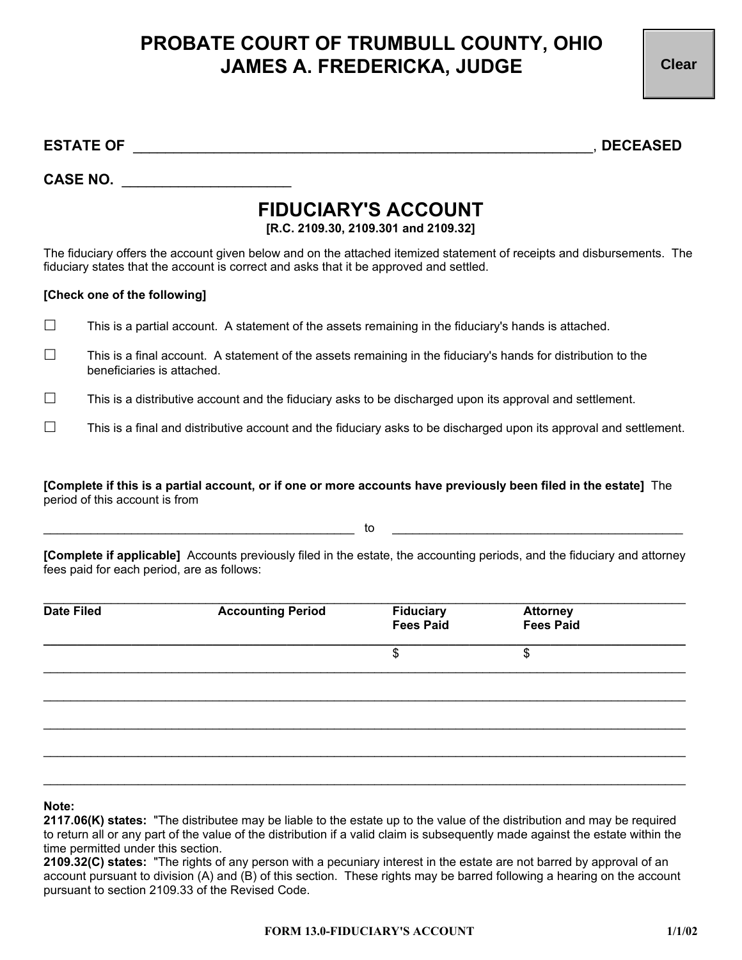## **PROBATE COURT OF TRUMBULL COUNTY, OHIO JAMES A. FREDERICKA, JUDGE**

**Clear**

**ESTATE OF** \_\_\_\_\_\_\_\_\_\_\_\_\_\_\_\_\_\_\_\_\_\_\_\_\_\_\_\_\_\_\_\_\_\_\_\_\_\_\_\_\_\_\_\_\_\_\_\_\_\_\_\_\_\_\_\_\_, **DECEASED** 

**CASE NO.** \_\_\_\_\_\_\_\_\_\_\_\_\_\_\_\_\_\_\_\_\_

## **FIDUCIARY'S ACCOUNT**

**[R.C. 2109.30, 2109.301 and 2109.32]** 

The fiduciary offers the account given below and on the attached itemized statement of receipts and disbursements. The fiduciary states that the account is correct and asks that it be approved and settled.

## **[Check one of the following]**

- $\Box$  This is a partial account. A statement of the assets remaining in the fiduciary's hands is attached.
- $\Box$  This is a final account. A statement of the assets remaining in the fiduciary's hands for distribution to the beneficiaries is attached.
- $\Box$  This is a distributive account and the fiduciary asks to be discharged upon its approval and settlement.
- $\Box$  This is a final and distributive account and the fiduciary asks to be discharged upon its approval and settlement.

**[Complete if this is a partial account, or if one or more accounts have previously been filed in the estate]** The period of this account is from

 $\hbox{\tt to}$   $\hbox{\tt to}$   $\hbox{\tt to}$   $\hbox{\tt ...}$  .

**[Complete if applicable]** Accounts previously filed in the estate, the accounting periods, and the fiduciary and attorney fees paid for each period, are as follows:

| <b>Date Filed</b> | <b>Accounting Period</b> | Fiduciary<br>Fees Paid | <b>Attorney<br/>Fees Paid</b> |  |
|-------------------|--------------------------|------------------------|-------------------------------|--|
|                   |                          | \$                     | \$                            |  |
|                   |                          |                        |                               |  |
|                   |                          |                        |                               |  |
|                   |                          |                        |                               |  |
|                   |                          |                        |                               |  |

## **Note:**

**2117.06(K) states:** "The distributee may be liable to the estate up to the value of the distribution and may be required to return all or any part of the value of the distribution if a valid claim is subsequently made against the estate within the time permitted under this section.

**2109.32(C) states:** "The rights of any person with a pecuniary interest in the estate are not barred by approval of an account pursuant to division (A) and (B) of this section. These rights may be barred following a hearing on the account pursuant to section 2109.33 of the Revised Code.